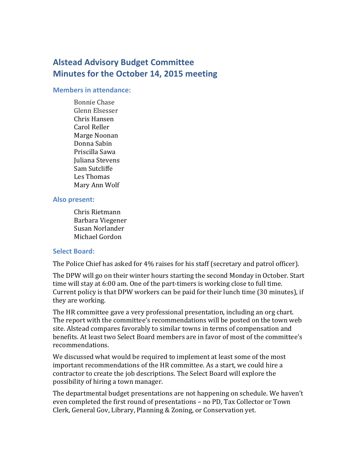# **Alstead Advisory Budget Committee Minutes for the October 14, 2015 meeting**

#### **Members in attendance:**

Bonnie Chase Glenn Elsesser Chris Hansen Carol Reller Marge Noonan Donna Sabin Priscilla Sawa Juliana Stevens Sam Sutcliffe Les Thomas Mary Ann Wolf

#### **Also present:**

Chris Rietmann Barbara Viegener Susan Norlander Michael Gordon

#### **Select Board:**

The Police Chief has asked for 4% raises for his staff (secretary and patrol officer).

The DPW will go on their winter hours starting the second Monday in October. Start time will stay at 6:00 am. One of the part-timers is working close to full time. Current policy is that DPW workers can be paid for their lunch time (30 minutes), if they are working.

The HR committee gave a very professional presentation, including an org chart. The report with the committee's recommendations will be posted on the town web site. Alstead compares favorably to similar towns in terms of compensation and benefits. At least two Select Board members are in favor of most of the committee's recommendations.

We discussed what would be required to implement at least some of the most important recommendations of the HR committee. As a start, we could hire a contractor to create the job descriptions. The Select Board will explore the possibility of hiring a town manager.

The departmental budget presentations are not happening on schedule. We haven't even completed the first round of presentations – no PD, Tax Collector or Town Clerk, General Gov, Library, Planning & Zoning, or Conservation yet.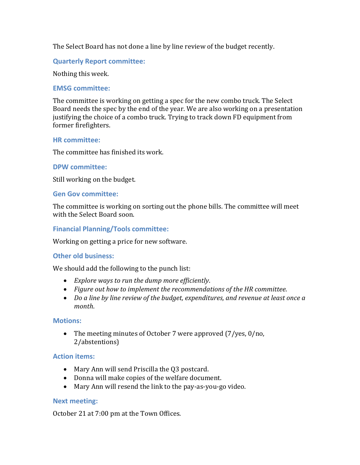The Select Board has not done a line by line review of the budget recently.

# **Quarterly Report committee:**

Nothing this week.

## **EMSG committee:**

The committee is working on getting a spec for the new combo truck. The Select Board needs the spec by the end of the year. We are also working on a presentation justifying the choice of a combo truck. Trying to track down FD equipment from former firefighters.

## **HR committee:**

The committee has finished its work.

## **DPW committee:**

Still working on the budget.

## **Gen Gov committee:**

The committee is working on sorting out the phone bills. The committee will meet with the Select Board soon.

## **Financial Planning/Tools committee:**

Working on getting a price for new software.

#### **Other old business:**

We should add the following to the punch list:

- *Explore ways to run the dump more efficiently*.
- *Figure out how to implement the recommendations of the HR committee*.
- *Do a line by line review of the budget, expenditures, and revenue at least once a month*.

#### **Motions:**

• The meeting minutes of October 7 were approved (7/yes, 0/no, 2/abstentions)

#### **Action items:**

- Mary Ann will send Priscilla the Q3 postcard.
- Donna will make copies of the welfare document.
- Mary Ann will resend the link to the pay-as-you-go video.

## **Next meeting:**

October 21 at 7:00 pm at the Town Offices.